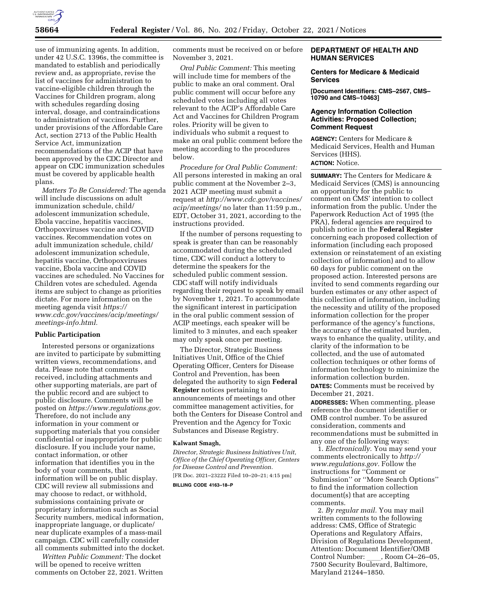

use of immunizing agents. In addition, under 42 U.S.C. 1396s, the committee is mandated to establish and periodically review and, as appropriate, revise the list of vaccines for administration to vaccine-eligible children through the Vaccines for Children program, along with schedules regarding dosing interval, dosage, and contraindications to administration of vaccines. Further, under provisions of the Affordable Care Act, section 2713 of the Public Health Service Act, immunization recommendations of the ACIP that have been approved by the CDC Director and appear on CDC immunization schedules must be covered by applicable health plans.

*Matters To Be Considered:* The agenda will include discussions on adult immunization schedule, child/ adolescent immunization schedule, Ebola vaccine, hepatitis vaccines, Orthopoxviruses vaccine and COVID vaccines. Recommendation votes on adult immunization schedule, child/ adolescent immunization schedule, hepatitis vaccine, Orthopoxviruses vaccine, Ebola vaccine and COVID vaccines are scheduled. No Vaccines for Children votes are scheduled. Agenda items are subject to change as priorities dictate. For more information on the meeting agenda visit *[https://](https://www.cdc.gov/vaccines/acip/meetings/meetings-info.html) [www.cdc.gov/vaccines/acip/meetings/](https://www.cdc.gov/vaccines/acip/meetings/meetings-info.html) [meetings-info.html.](https://www.cdc.gov/vaccines/acip/meetings/meetings-info.html)* 

## **Public Participation**

Interested persons or organizations are invited to participate by submitting written views, recommendations, and data. Please note that comments received, including attachments and other supporting materials, are part of the public record and are subject to public disclosure. Comments will be posted on *[https://www.regulations.gov.](https://www.regulations.gov)*  Therefore, do not include any information in your comment or supporting materials that you consider confidential or inappropriate for public disclosure. If you include your name, contact information, or other information that identifies you in the body of your comments, that information will be on public display. CDC will review all submissions and may choose to redact, or withhold, submissions containing private or proprietary information such as Social Security numbers, medical information, inappropriate language, or duplicate/ near duplicate examples of a mass-mail campaign. CDC will carefully consider all comments submitted into the docket.

*Written Public Comment:* The docket will be opened to receive written comments on October 22, 2021. Written

comments must be received on or before November 3, 2021.

*Oral Public Comment:* This meeting will include time for members of the public to make an oral comment. Oral public comment will occur before any scheduled votes including all votes relevant to the ACIP's Affordable Care Act and Vaccines for Children Program roles. Priority will be given to individuals who submit a request to make an oral public comment before the meeting according to the procedures below.

*Procedure for Oral Public Comment:*  All persons interested in making an oral public comment at the November 2–3, 2021 ACIP meeting must submit a request at *[http://www.cdc.gov/vaccines/](http://www.cdc.gov/vaccines/acip/meetings/)  [acip/meetings/](http://www.cdc.gov/vaccines/acip/meetings/)* no later than 11:59 p.m., EDT, October 31, 2021, according to the instructions provided.

If the number of persons requesting to speak is greater than can be reasonably accommodated during the scheduled time, CDC will conduct a lottery to determine the speakers for the scheduled public comment session. CDC staff will notify individuals regarding their request to speak by email by November 1, 2021. To accommodate the significant interest in participation in the oral public comment session of ACIP meetings, each speaker will be limited to 3 minutes, and each speaker may only speak once per meeting.

The Director, Strategic Business Initiatives Unit, Office of the Chief Operating Officer, Centers for Disease Control and Prevention, has been delegated the authority to sign **Federal Register** notices pertaining to announcements of meetings and other committee management activities, for both the Centers for Disease Control and Prevention and the Agency for Toxic Substances and Disease Registry.

#### **Kalwant Smagh,**

*Director, Strategic Business Initiatives Unit, Office of the Chief Operating Officer, Centers for Disease Control and Prevention.*  [FR Doc. 2021–23222 Filed 10–20–21; 4:15 pm] **BILLING CODE 4163–18–P** 

# **DEPARTMENT OF HEALTH AND HUMAN SERVICES**

### **Centers for Medicare & Medicaid Services**

**[Document Identifiers: CMS–2567, CMS– 10790 and CMS–10463]** 

# **Agency Information Collection Activities: Proposed Collection; Comment Request**

**AGENCY:** Centers for Medicare & Medicaid Services, Health and Human Services (HHS). **ACTION:** Notice.

**SUMMARY:** The Centers for Medicare & Medicaid Services (CMS) is announcing an opportunity for the public to comment on CMS' intention to collect information from the public. Under the Paperwork Reduction Act of 1995 (the PRA), federal agencies are required to publish notice in the **Federal Register**  concerning each proposed collection of information (including each proposed extension or reinstatement of an existing collection of information) and to allow 60 days for public comment on the proposed action. Interested persons are invited to send comments regarding our burden estimates or any other aspect of this collection of information, including the necessity and utility of the proposed information collection for the proper performance of the agency's functions, the accuracy of the estimated burden, ways to enhance the quality, utility, and clarity of the information to be collected, and the use of automated collection techniques or other forms of information technology to minimize the information collection burden. **DATES:** Comments must be received by December 21, 2021.

**ADDRESSES:** When commenting, please reference the document identifier or OMB control number. To be assured consideration, comments and recommendations must be submitted in any one of the following ways:

1. *Electronically.* You may send your comments electronically to *[http://](http://www.regulations.gov) [www.regulations.gov.](http://www.regulations.gov)* Follow the instructions for ''Comment or Submission'' or ''More Search Options'' to find the information collection document(s) that are accepting comments.

2. *By regular mail.* You may mail written comments to the following address: CMS, Office of Strategic Operations and Regulatory Affairs, Division of Regulations Development, Attention: Document Identifier/OMB Control Number: \_\_\_\_, Room C4–26–05,<br>7500 Security Boulevard, Baltimore, Maryland 21244–1850.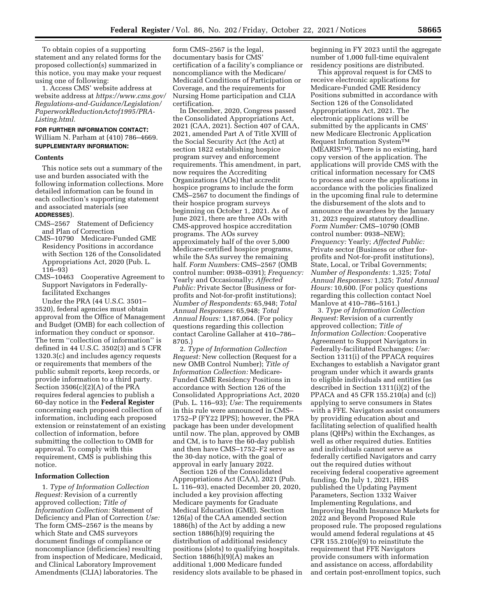To obtain copies of a supporting statement and any related forms for the proposed collection(s) summarized in this notice, you may make your request using one of following:

1. Access CMS' website address at website address at *[https://www.cms.gov/](https://www.cms.gov/Regulations-and-Guidance/Legislation/PaperworkReductionActof1995/PRA-Listing.html) [Regulations-and-Guidance/Legislation/](https://www.cms.gov/Regulations-and-Guidance/Legislation/PaperworkReductionActof1995/PRA-Listing.html)  [PaperworkReductionActof1995/PRA-](https://www.cms.gov/Regulations-and-Guidance/Legislation/PaperworkReductionActof1995/PRA-Listing.html)[Listing.html.](https://www.cms.gov/Regulations-and-Guidance/Legislation/PaperworkReductionActof1995/PRA-Listing.html)* 

# **FOR FURTHER INFORMATION CONTACT:**  William N. Parham at (410) 786–4669. **SUPPLEMENTARY INFORMATION:**

#### **Contents**

This notice sets out a summary of the use and burden associated with the following information collections. More detailed information can be found in each collection's supporting statement and associated materials (see **ADDRESSES**).

- CMS–2567 Statement of Deficiency and Plan of Correction
- CMS–10790 Medicare-Funded GME Residency Positions in accordance with Section 126 of the Consolidated Appropriations Act, 2020 (Pub. L. 116–93)
- CMS–10463 Cooperative Agreement to Support Navigators in Federallyfacilitated Exchanges

Under the PRA (44 U.S.C. 3501– 3520), federal agencies must obtain approval from the Office of Management and Budget (OMB) for each collection of information they conduct or sponsor. The term ''collection of information'' is defined in 44 U.S.C. 3502(3) and 5 CFR 1320.3(c) and includes agency requests or requirements that members of the public submit reports, keep records, or provide information to a third party. Section 3506(c)(2)(A) of the PRA requires federal agencies to publish a 60-day notice in the **Federal Register**  concerning each proposed collection of information, including each proposed extension or reinstatement of an existing collection of information, before submitting the collection to OMB for approval. To comply with this requirement, CMS is publishing this notice.

#### **Information Collection**

1. *Type of Information Collection Request:* Revision of a currently approved collection; *Title of Information Collection:* Statement of Deficiency and Plan of Correction *Use:*  The form CMS–2567 is the means by which State and CMS surveyors document findings of compliance or noncompliance (deficiencies) resulting from inspection of Medicare, Medicaid, and Clinical Laboratory Improvement Amendments (CLIA) laboratories. The

form CMS–2567 is the legal, documentary basis for CMS' certification of a facility's compliance or noncompliance with the Medicare/ Medicaid Conditions of Participation or Coverage, and the requirements for Nursing Home participation and CLIA certification.

In December, 2020, Congress passed the Consolidated Appropriations Act, 2021 (CAA, 2021). Section 407 of CAA, 2021, amended Part A of Title XVIII of the Social Security Act (the Act) at section 1822 establishing hospice program survey and enforcement requirements. This amendment, in part, now requires the Accrediting Organizations (AOs) that accredit hospice programs to include the form CMS–2567 to document the findings of their hospice program surveys beginning on October 1, 2021. As of June 2021, there are three AOs with CMS-approved hospice accreditation programs. The AOs survey approximately half of the over 5,000 Medicare-certified hospice programs, while the SAs survey the remaining half. *Form Numbers:* CMS–2567 (OMB control number: 0938–0391); *Frequency:*  Yearly and Occasionally; *Affected Public:* Private Sector (Business or forprofits and Not-for-profit institutions); *Number of Respondents:* 65,948; *Total Annual Responses:* 65,948; *Total Annual Hours:* 1,187,064. (For policy questions regarding this collection contact Caroline Gallaher at 410–786– 8705.)

2. *Type of Information Collection Request:* New collection (Request for a new OMB Control Number); *Title of Information Collection:* Medicare-Funded GME Residency Positions in accordance with Section 126 of the Consolidated Appropriations Act, 2020 (Pub. L. 116–93); *Use:* The requirements in this rule were announced in CMS– 1752–P (FY22 IPPS); however, the PRA package has been under development until now. The plan, approved by OMB and CM, is to have the 60-day publish and then have CMS–1752–F2 serve as the 30-day notice, with the goal of approval in early January 2022.

Section 126 of the Consolidated Appropriations Act (CAA), 2021 (Pub. L. 116–93), enacted December 20, 2020, included a key provision affecting Medicare payments for Graduate Medical Education (GME). Section 126(a) of the CAA amended section 1886(h) of the Act by adding a new section 1886(h)(9) requiring the distribution of additional residency positions (slots) to qualifying hospitals. Section  $1886(h)(9)(\overline{A})$  makes an additional 1,000 Medicare funded residency slots available to be phased in

beginning in FY 2023 until the aggregate number of 1,000 full-time equivalent residency positions are distributed.

This approval request is for CMS to receive electronic applications for Medicare-Funded GME Residency Positions submitted in accordance with Section 126 of the Consolidated Appropriations Act, 2021. The electronic applications will be submitted by the applicants in CMS' new Medicare Electronic Application Request Information SystemTM (MEARISTM). There is no existing, hard copy version of the application. The applications will provide CMS with the critical information necessary for CMS to process and score the applications in accordance with the policies finalized in the upcoming final rule to determine the disbursement of the slots and to announce the awardees by the January 31, 2023 required statutory deadline. *Form Number:* CMS–10790 (OMB control number: 0938–NEW); *Frequency:* Yearly; *Affected Public:*  Private sector (Business or other forprofits and Not-for-profit institutions), State, Local, or Tribal Governments; *Number of Respondents:* 1,325; *Total Annual Responses:* 1,325; *Total Annual Hours:* 10,600. (For policy questions regarding this collection contact Noel Manlove at 410–786–5161.)

3. *Type of Information Collection Request:* Revision of a currently approved collection; *Title of Information Collection:* Cooperative Agreement to Support Navigators in Federally-facilitated Exchanges; *Use:*  Section 1311(i) of the PPACA requires Exchanges to establish a Navigator grant program under which it awards grants to eligible individuals and entities (as described in Section 1311(i)(2) of the PPACA and 45 CFR 155.210(a) and (c)) applying to serve consumers in States with a FFE. Navigators assist consumers by providing education about and facilitating selection of qualified health plans (QHPs) within the Exchanges, as well as other required duties. Entities and individuals cannot serve as federally certified Navigators and carry out the required duties without receiving federal cooperative agreement funding. On July 1, 2021, HHS published the Updating Payment Parameters, Section 1332 Waiver Implementing Regulations, and Improving Health Insurance Markets for 2022 and Beyond Proposed Rule proposed rule. The proposed regulations would amend federal regulations at 45 CFR 155.210(e)(9) to reinstitute the requirement that FFE Navigators provide consumers with information and assistance on access, affordability and certain post-enrollment topics, such